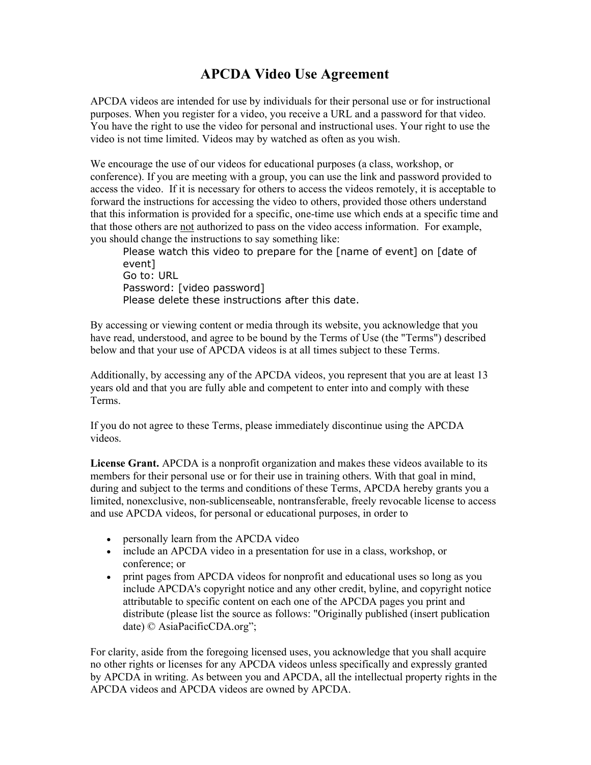## APCDA Video Use Agreement

APCDA videos are intended for use by individuals for their personal use or for instructional purposes. When you register for a video, you receive a URL and a password for that video. You have the right to use the video for personal and instructional uses. Your right to use the video is not time limited. Videos may by watched as often as you wish.

We encourage the use of our videos for educational purposes (a class, workshop, or conference). If you are meeting with a group, you can use the link and password provided to access the video. If it is necessary for others to access the videos remotely, it is acceptable to forward the instructions for accessing the video to others, provided those others understand that this information is provided for a specific, one-time use which ends at a specific time and that those others are not authorized to pass on the video access information. For example, you should change the instructions to say something like:

Please watch this video to prepare for the [name of event] on [date of event] Go to: URL Password: [video password] Please delete these instructions after this date.

By accessing or viewing content or media through its website, you acknowledge that you have read, understood, and agree to be bound by the Terms of Use (the "Terms") described below and that your use of APCDA videos is at all times subject to these Terms.

Additionally, by accessing any of the APCDA videos, you represent that you are at least 13 years old and that you are fully able and competent to enter into and comply with these Terms.

If you do not agree to these Terms, please immediately discontinue using the APCDA videos.

License Grant. APCDA is a nonprofit organization and makes these videos available to its members for their personal use or for their use in training others. With that goal in mind, during and subject to the terms and conditions of these Terms, APCDA hereby grants you a limited, nonexclusive, non-sublicenseable, nontransferable, freely revocable license to access and use APCDA videos, for personal or educational purposes, in order to

- personally learn from the APCDA video
- include an APCDA video in a presentation for use in a class, workshop, or conference; or
- print pages from APCDA videos for nonprofit and educational uses so long as you include APCDA's copyright notice and any other credit, byline, and copyright notice attributable to specific content on each one of the APCDA pages you print and distribute (please list the source as follows: "Originally published (insert publication date) © AsiaPacificCDA.org";

For clarity, aside from the foregoing licensed uses, you acknowledge that you shall acquire no other rights or licenses for any APCDA videos unless specifically and expressly granted by APCDA in writing. As between you and APCDA, all the intellectual property rights in the APCDA videos and APCDA videos are owned by APCDA.